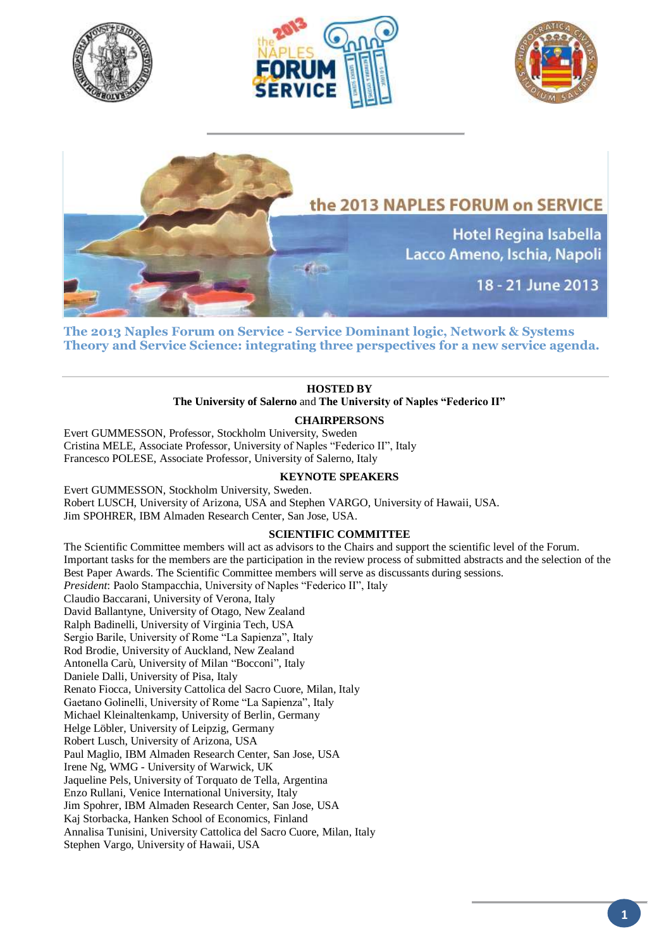







**The 2013 Naples Forum on Service - Service Dominant logic, Network & Systems Theory and Service Science: integrating three perspectives for a new service agenda.**

# **HOSTED BY The University of Salerno** and **The [University of Naples "Federico II"](http://www.international.unina.it/)**

**CHAIRPERSONS**

Evert GUMMESSON, Professor, Stockholm University, Sweden Cristina MELE, Associate Professor, University of Naples "Federico II", Italy Francesco POLESE, Associate Professor, University of Salerno, Italy

# **KEYNOTE SPEAKERS**

Evert GUMMESSON, Stockholm University, Sweden. Robert LUSCH, University of Arizona, USA and Stephen VARGO, University of Hawaii, USA. Jim SPOHRER, IBM Almaden Research Center, San Jose, USA.

# **SCIENTIFIC COMMITTEE**

The Scientific Committee members will act as advisors to the Chairs and support the scientific level of the Forum. Important tasks for the members are the participation in the review process of submitted abstracts and the selection of the Best Paper Awards. The Scientific Committee members will serve as discussants during sessions. *President*: Paolo Stampacchia, University of Naples "Federico II", Italy Claudio Baccarani, University of Verona, Italy David Ballantyne, University of Otago, New Zealand Ralph Badinelli, University of Virginia Tech, USA Sergio Barile, University of Rome "La Sapienza", Italy Rod Brodie, University of Auckland, New Zealand Antonella Carù, University of Milan "Bocconi", Italy Daniele Dalli, University of Pisa, Italy Renato Fiocca, University Cattolica del Sacro Cuore, Milan, Italy Gaetano Golinelli, University of Rome "La Sapienza", Italy Michael Kleinaltenkamp, University of Berlin, Germany Helge Löbler, University of Leipzig, Germany Robert Lusch, University of Arizona, USA Paul Maglio, IBM Almaden Research Center, San Jose, USA Irene Ng, WMG - University of Warwick, UK Jaqueline Pels, University of Torquato de Tella, Argentina Enzo Rullani, Venice International University, Italy Jim Spohrer, IBM Almaden Research Center, San Jose, USA Kaj Storbacka, Hanken School of Economics, Finland Annalisa Tunisini, University Cattolica del Sacro Cuore, Milan, Italy Stephen Vargo, University of Hawaii, USA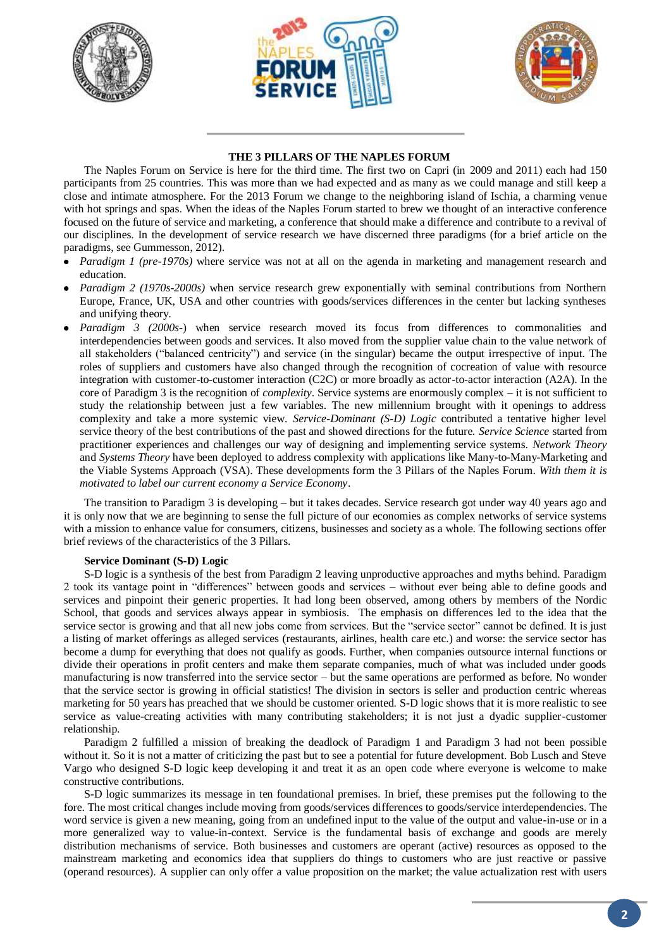





## **THE 3 PILLARS OF THE NAPLES FORUM**

The Naples Forum on Service is here for the third time. The first two on Capri (in 2009 and 2011) each had 150 participants from 25 countries. This was more than we had expected and as many as we could manage and still keep a close and intimate atmosphere. For the 2013 Forum we change to the neighboring island of Ischia, a charming venue with hot springs and spas. When the ideas of the Naples Forum started to brew we thought of an interactive conference focused on the future of service and marketing, a conference that should make a difference and contribute to a revival of our disciplines. In the development of service research we have discerned three paradigms (for a brief article on the paradigms, see Gummesson, 2012).

- *Paradigm 1 (pre-1970s)* where service was not at all on the agenda in marketing and management research and education.
- *Paradigm 2 (1970s-2000s)* when service research grew exponentially with seminal contributions from Northern Europe, France, UK, USA and other countries with goods/services differences in the center but lacking syntheses and unifying theory.
- *Paradigm 3 (2000s-)* when service research moved its focus from differences to commonalities and interdependencies between goods and services. It also moved from the supplier value chain to the value network of all stakeholders ("balanced centricity") and service (in the singular) became the output irrespective of input. The roles of suppliers and customers have also changed through the recognition of cocreation of value with resource integration with customer-to-customer interaction (C2C) or more broadly as actor-to-actor interaction (A2A). In the core of Paradigm 3 is the recognition of *complexity*. Service systems are enormously complex – it is not sufficient to study the relationship between just a few variables. The new millennium brought with it openings to address complexity and take a more systemic view. *Service-Dominant (S-D) Logic* contributed a tentative higher level service theory of the best contributions of the past and showed directions for the future. *Service Science* started from practitioner experiences and challenges our way of designing and implementing service systems. *Network Theory*  and *Systems Theory* have been deployed to address complexity with applications like Many-to-Many-Marketing and the Viable Systems Approach (VSA). These developments form the 3 Pillars of the Naples Forum. *With them it is motivated to label our current economy a Service Economy*.

The transition to Paradigm 3 is developing – but it takes decades. Service research got under way 40 years ago and it is only now that we are beginning to sense the full picture of our economies as complex networks of service systems with a mission to enhance value for consumers, citizens, businesses and society as a whole. The following sections offer brief reviews of the characteristics of the 3 Pillars.

## **Service Dominant (S-D) Logic**

S-D logic is a synthesis of the best from Paradigm 2 leaving unproductive approaches and myths behind. Paradigm 2 took its vantage point in "differences" between goods and services – without ever being able to define goods and services and pinpoint their generic properties. It had long been observed, among others by members of the Nordic School, that goods and services always appear in symbiosis. The emphasis on differences led to the idea that the service sector is growing and that all new jobs come from services. But the "service sector" cannot be defined. It is just a listing of market offerings as alleged services (restaurants, airlines, health care etc.) and worse: the service sector has become a dump for everything that does not qualify as goods. Further, when companies outsource internal functions or divide their operations in profit centers and make them separate companies, much of what was included under goods manufacturing is now transferred into the service sector – but the same operations are performed as before. No wonder that the service sector is growing in official statistics! The division in sectors is seller and production centric whereas marketing for 50 years has preached that we should be customer oriented. S-D logic shows that it is more realistic to see service as value-creating activities with many contributing stakeholders; it is not just a dyadic supplier-customer relationship.

Paradigm 2 fulfilled a mission of breaking the deadlock of Paradigm 1 and Paradigm 3 had not been possible without it. So it is not a matter of criticizing the past but to see a potential for future development. Bob Lusch and Steve Vargo who designed S-D logic keep developing it and treat it as an open code where everyone is welcome to make constructive contributions.

S-D logic summarizes its message in ten foundational premises. In brief, these premises put the following to the fore. The most critical changes include moving from goods/services differences to goods/service interdependencies. The word service is given a new meaning, going from an undefined input to the value of the output and value-in-use or in a more generalized way to value-in-context. Service is the fundamental basis of exchange and goods are merely distribution mechanisms of service. Both businesses and customers are operant (active) resources as opposed to the mainstream marketing and economics idea that suppliers do things to customers who are just reactive or passive (operand resources). A supplier can only offer a value proposition on the market; the value actualization rest with users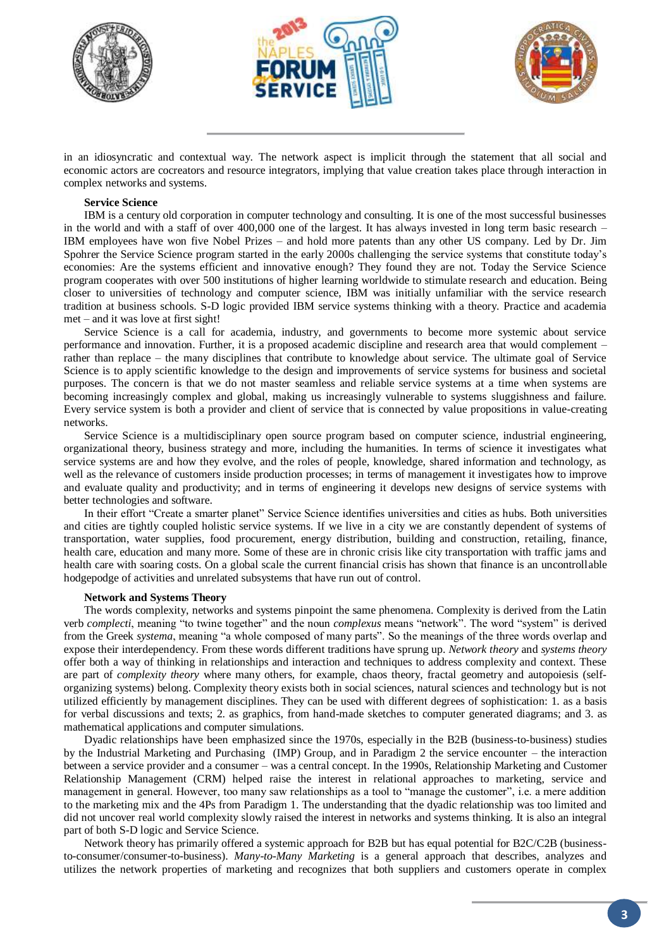





in an idiosyncratic and contextual way. The network aspect is implicit through the statement that all social and economic actors are cocreators and resource integrators, implying that value creation takes place through interaction in complex networks and systems.

#### **Service Science**

IBM is a century old corporation in computer technology and consulting. It is one of the most successful businesses in the world and with a staff of over 400,000 one of the largest. It has always invested in long term basic research – IBM employees have won five Nobel Prizes – and hold more patents than any other US company. Led by Dr. Jim Spohrer the Service Science program started in the early 2000s challenging the service systems that constitute today's economies: Are the systems efficient and innovative enough? They found they are not. Today the Service Science program cooperates with over 500 institutions of higher learning worldwide to stimulate research and education. Being closer to universities of technology and computer science, IBM was initially unfamiliar with the service research tradition at business schools. S-D logic provided IBM service systems thinking with a theory. Practice and academia met – and it was love at first sight!

Service Science is a call for academia, industry, and governments to become more systemic about service performance and innovation. Further, it is a proposed academic discipline and research area that would complement – rather than replace – the many disciplines that contribute to knowledge about service. The ultimate goal of Service Science is to apply scientific knowledge to the design and improvements of service systems for business and societal purposes. The concern is that we do not master seamless and reliable service systems at a time when systems are becoming increasingly complex and global, making us increasingly vulnerable to systems sluggishness and failure. Every service system is both a provider and client of service that is connected by value propositions in value-creating networks.

Service Science is a multidisciplinary open source program based on computer science, industrial engineering, organizational theory, business strategy and more, including the humanities. In terms of science it investigates what service systems are and how they evolve, and the roles of people, knowledge, shared information and technology, as well as the relevance of customers inside production processes; in terms of management it investigates how to improve and evaluate quality and productivity; and in terms of engineering it develops new designs of service systems with better technologies and software.

In their effort "Create a smarter planet" Service Science identifies universities and cities as hubs. Both universities and cities are tightly coupled holistic service systems. If we live in a city we are constantly dependent of systems of transportation, water supplies, food procurement, energy distribution, building and construction, retailing, finance, health care, education and many more. Some of these are in chronic crisis like city transportation with traffic jams and health care with soaring costs. On a global scale the current financial crisis has shown that finance is an uncontrollable hodgepodge of activities and unrelated subsystems that have run out of control.

#### **Network and Systems Theory**

The words complexity, networks and systems pinpoint the same phenomena. Complexity is derived from the Latin verb *complecti*, meaning "to twine together" and the noun *complexus* means "network". The word "system" is derived from the Greek *systema*, meaning "a whole composed of many parts". So the meanings of the three words overlap and expose their interdependency. From these words different traditions have sprung up. *Network theory* and *systems theory* offer both a way of thinking in relationships and interaction and techniques to address complexity and context. These are part of *complexity theory* where many others, for example, chaos theory, fractal geometry and autopoiesis (selforganizing systems) belong. Complexity theory exists both in social sciences, natural sciences and technology but is not utilized efficiently by management disciplines. They can be used with different degrees of sophistication: 1. as a basis for verbal discussions and texts; 2. as graphics, from hand-made sketches to computer generated diagrams; and 3. as mathematical applications and computer simulations.

Dyadic relationships have been emphasized since the 1970s, especially in the B2B (business-to-business) studies by the Industrial Marketing and Purchasing (IMP) Group, and in Paradigm 2 the service encounter – the interaction between a service provider and a consumer – was a central concept. In the 1990s, Relationship Marketing and Customer Relationship Management (CRM) helped raise the interest in relational approaches to marketing, service and management in general. However, too many saw relationships as a tool to "manage the customer", i.e. a mere addition to the marketing mix and the 4Ps from Paradigm 1. The understanding that the dyadic relationship was too limited and did not uncover real world complexity slowly raised the interest in networks and systems thinking. It is also an integral part of both S-D logic and Service Science.

Network theory has primarily offered a systemic approach for B2B but has equal potential for B2C/C2B (businessto-consumer/consumer-to-business). *Many-to-Many Marketing* is a general approach that describes, analyzes and utilizes the network properties of marketing and recognizes that both suppliers and customers operate in complex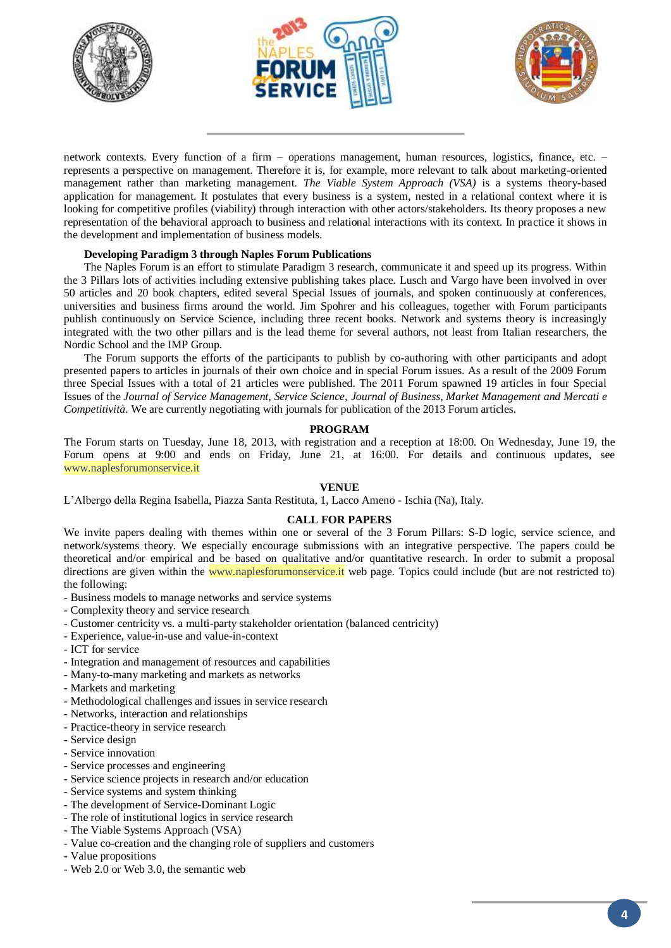





network contexts. Every function of a firm – operations management, human resources, logistics, finance, etc. – represents a perspective on management. Therefore it is, for example, more relevant to talk about marketing-oriented management rather than marketing management. *The Viable System Approach (VSA)* is a systems theory-based application for management. It postulates that every business is a system, nested in a relational context where it is looking for competitive profiles (viability) through interaction with other actors/stakeholders. Its theory proposes a new representation of the behavioral approach to business and relational interactions with its context. In practice it shows in the development and implementation of business models.

# **Developing Paradigm 3 through Naples Forum Publications**

The Naples Forum is an effort to stimulate Paradigm 3 research, communicate it and speed up its progress. Within the 3 Pillars lots of activities including extensive publishing takes place. Lusch and Vargo have been involved in over 50 articles and 20 book chapters, edited several Special Issues of journals, and spoken continuously at conferences, universities and business firms around the world. Jim Spohrer and his colleagues, together with Forum participants publish continuously on Service Science, including three recent books. Network and systems theory is increasingly integrated with the two other pillars and is the lead theme for several authors, not least from Italian researchers, the Nordic School and the IMP Group.

The Forum supports the efforts of the participants to publish by co-authoring with other participants and adopt presented papers to articles in journals of their own choice and in special Forum issues. As a result of the 2009 Forum three Special Issues with a total of 21 articles were published. The 2011 Forum spawned 19 articles in four Special Issues of the *Journal of Service Management, Service Science, Journal of Business, Market Management and Mercati e Competitività*. We are currently negotiating with journals for publication of the 2013 Forum articles.

## **PROGRAM**

The Forum starts on Tuesday, June 18, 2013, with registration and a reception at 18:00. On Wednesday, June 19, the Forum opens at 9:00 and ends on Friday, June 21, at 16:00. For details and continuous updates, see [www.naplesforumonservice.it](http://www.naplesforumonservice.it/)

## **VENUE**

L'Albergo della Regina Isabella, Piazza Santa Restituta, 1, Lacco Ameno - Ischia (Na), Italy.

## **CALL FOR PAPERS**

We invite papers dealing with themes within one or several of the 3 Forum Pillars: S-D logic, service science, and network/systems theory. We especially encourage submissions with an integrative perspective. The papers could be theoretical and/or empirical and be based on qualitative and/or quantitative research. In order to submit a proposal directions are given within the [www.naplesforumonservice.it](http://www.naplesforumonservice.it/) web page. Topics could include (but are not restricted to) the following:

- Business models to manage networks and service systems
- Complexity theory and service research
- Customer centricity vs. a multi-party stakeholder orientation (balanced centricity)
- Experience, value-in-use and value-in-context
- ICT for service
- Integration and management of resources and capabilities
- Many-to-many marketing and markets as networks
- Markets and marketing
- Methodological challenges and issues in service research
- Networks, interaction and relationships
- Practice-theory in service research
- Service design
- Service innovation
- Service processes and engineering
- Service science projects in research and/or education
- Service systems and system thinking
- The development of Service-Dominant Logic
- The role of institutional logics in service research
- The Viable Systems Approach (VSA)
- Value co-creation and the changing role of suppliers and customers
- Value propositions
- Web 2.0 or Web 3.0, the semantic web